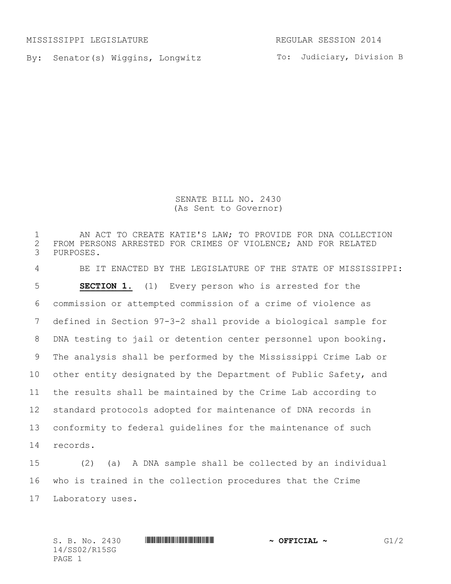MISSISSIPPI LEGISLATURE REGULAR SESSION 2014

By: Senator(s) Wiggins, Longwitz

To: Judiciary, Division B

SENATE BILL NO. 2430 (As Sent to Governor)

1 AN ACT TO CREATE KATIE'S LAW; TO PROVIDE FOR DNA COLLECTION<br>2 FROM PERSONS ARRESTED FOR CRIMES OF VIOLENCE; AND FOR RELATED 2 FROM PERSONS ARRESTED FOR CRIMES OF VIOLENCE; AND FOR RELATED<br>3 PURPOSES. PURPOSES. BE IT ENACTED BY THE LEGISLATURE OF THE STATE OF MISSISSIPPI: **SECTION 1.** (1) Every person who is arrested for the commission or attempted commission of a crime of violence as defined in Section 97-3-2 shall provide a biological sample for DNA testing to jail or detention center personnel upon booking. The analysis shall be performed by the Mississippi Crime Lab or other entity designated by the Department of Public Safety, and the results shall be maintained by the Crime Lab according to standard protocols adopted for maintenance of DNA records in conformity to federal guidelines for the maintenance of such 14 records.

15 (2) (a) A DNA sample shall be collected by an individual 16 who is trained in the collection procedures that the Crime 17 Laboratory uses.

14/SS02/R15SG PAGE 1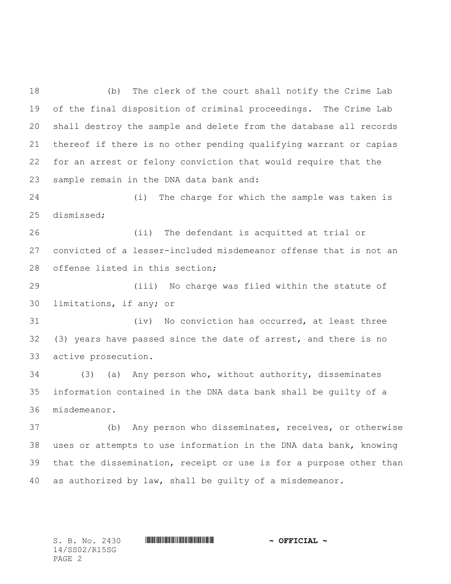(b) The clerk of the court shall notify the Crime Lab of the final disposition of criminal proceedings. The Crime Lab shall destroy the sample and delete from the database all records thereof if there is no other pending qualifying warrant or capias for an arrest or felony conviction that would require that the sample remain in the DNA data bank and:

 (i) The charge for which the sample was taken is dismissed;

 (ii) The defendant is acquitted at trial or convicted of a lesser-included misdemeanor offense that is not an offense listed in this section;

 (iii) No charge was filed within the statute of limitations, if any; or

 (iv) No conviction has occurred, at least three (3) years have passed since the date of arrest, and there is no active prosecution.

 (3) (a) Any person who, without authority, disseminates information contained in the DNA data bank shall be guilty of a misdemeanor.

 (b) Any person who disseminates, receives, or otherwise uses or attempts to use information in the DNA data bank, knowing that the dissemination, receipt or use is for a purpose other than as authorized by law, shall be guilty of a misdemeanor.

14/SS02/R15SG PAGE 2

S. B. No. 2430 \*SS02/R15SG\* **~ OFFICIAL ~**